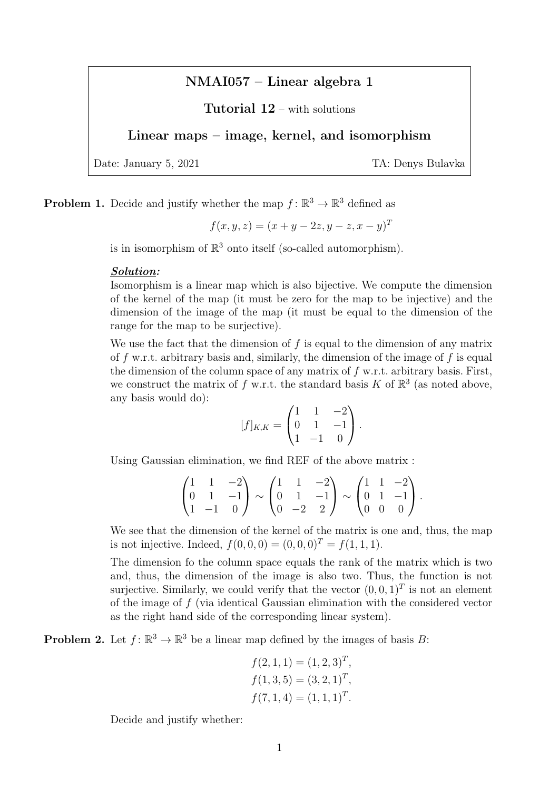# NMAI057 – Linear algebra 1

# Tutorial 12 – with solutions

## Linear maps – image, kernel, and isomorphism

Date: January 5, 2021 TA: Denys Bulavka

**Problem 1.** Decide and justify whether the map  $f: \mathbb{R}^3 \to \mathbb{R}^3$  defined as

$$
f(x, y, z) = (x + y - 2z, y - z, x - y)^{T}
$$

is in isomorphism of  $\mathbb{R}^3$  onto itself (so-called automorphism).

#### Solution:

Isomorphism is a linear map which is also bijective. We compute the dimension of the kernel of the map (it must be zero for the map to be injective) and the dimension of the image of the map (it must be equal to the dimension of the range for the map to be surjective).

We use the fact that the dimension of  $f$  is equal to the dimension of any matrix of f w.r.t. arbitrary basis and, similarly, the dimension of the image of f is equal the dimension of the column space of any matrix of  $f$  w.r.t. arbitrary basis. First, we construct the matrix of f w.r.t. the standard basis K of  $\mathbb{R}^3$  (as noted above, any basis would do):

$$
[f]_{K,K} = \begin{pmatrix} 1 & 1 & -2 \\ 0 & 1 & -1 \\ 1 & -1 & 0 \end{pmatrix}.
$$

Using Gaussian elimination, we find REF of the above matrix :

$$
\begin{pmatrix} 1 & 1 & -2 \ 0 & 1 & -1 \ 1 & -1 & 0 \end{pmatrix} \sim \begin{pmatrix} 1 & 1 & -2 \ 0 & 1 & -1 \ 0 & -2 & 2 \end{pmatrix} \sim \begin{pmatrix} 1 & 1 & -2 \ 0 & 1 & -1 \ 0 & 0 & 0 \end{pmatrix}.
$$

We see that the dimension of the kernel of the matrix is one and, thus, the map is not injective. Indeed,  $f(0, 0, 0) = (0, 0, 0)^T = f(1, 1, 1)$ .

The dimension fo the column space equals the rank of the matrix which is two and, thus, the dimension of the image is also two. Thus, the function is not surjective. Similarly, we could verify that the vector  $(0,0,1)^T$  is not an element of the image of f (via identical Gaussian elimination with the considered vector as the right hand side of the corresponding linear system).

**Problem 2.** Let  $f: \mathbb{R}^3 \to \mathbb{R}^3$  be a linear map defined by the images of basis B:

$$
f(2, 1, 1) = (1, 2, 3)T,f(1, 3, 5) = (3, 2, 1)T,f(7, 1, 4) = (1, 1, 1)T.
$$

Decide and justify whether: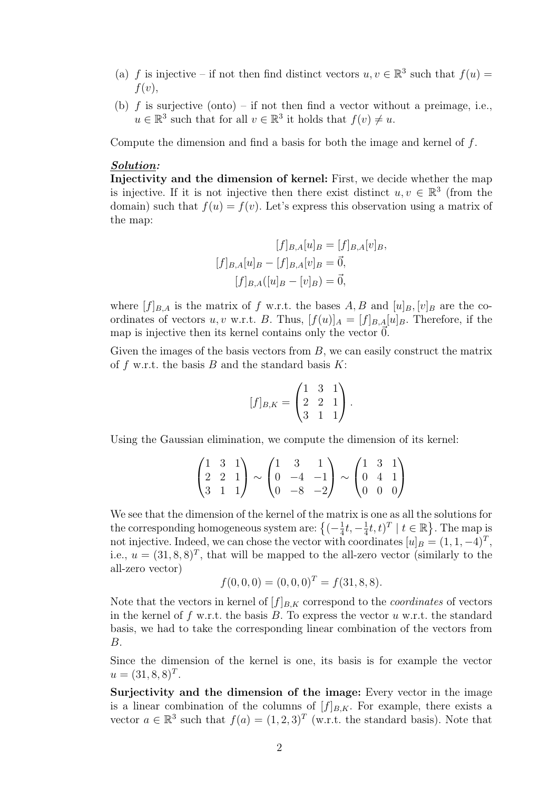- (a) f is injective if not then find distinct vectors  $u, v \in \mathbb{R}^3$  such that  $f(u) =$  $f(v)$ ,
- (b)  $f$  is surjective (onto) if not then find a vector without a preimage, i.e.,  $u \in \mathbb{R}^3$  such that for all  $v \in \mathbb{R}^3$  it holds that  $f(v) \neq u$ .

Compute the dimension and find a basis for both the image and kernel of f.

#### Solution:

Injectivity and the dimension of kernel: First, we decide whether the map is injective. If it is not injective then there exist distinct  $u, v \in \mathbb{R}^3$  (from the domain) such that  $f(u) = f(v)$ . Let's express this observation using a matrix of the map:

$$
[f]_{B,A}[u]_B = [f]_{B,A}[v]_B,
$$

$$
[f]_{B,A}[u]_B - [f]_{B,A}[v]_B = \vec{0},
$$

$$
[f]_{B,A}([u]_B - [v]_B) = \vec{0},
$$

where  $[f]_{B,A}$  is the matrix of f w.r.t. the bases A, B and  $[u]_B$ ,  $[v]_B$  are the coordinates of vectors u, v w.r.t. B. Thus,  $[f(u)]_A = [f]_{B,A}[u]_B$ . Therefore, if the map is injective then its kernel contains only the vector  $\vec{0}$ .

Given the images of the basis vectors from  $B$ , we can easily construct the matrix of f w.r.t. the basis  $B$  and the standard basis  $K$ :

$$
[f]_{B,K} = \begin{pmatrix} 1 & 3 & 1 \\ 2 & 2 & 1 \\ 3 & 1 & 1 \end{pmatrix}.
$$

Using the Gaussian elimination, we compute the dimension of its kernel:

$$
\begin{pmatrix} 1 & 3 & 1 \ 2 & 2 & 1 \ 3 & 1 & 1 \end{pmatrix} \sim \begin{pmatrix} 1 & 3 & 1 \ 0 & -4 & -1 \ 0 & -8 & -2 \end{pmatrix} \sim \begin{pmatrix} 1 & 3 & 1 \ 0 & 4 & 1 \ 0 & 0 & 0 \end{pmatrix}
$$

We see that the dimension of the kernel of the matrix is one as all the solutions for the corresponding homogeneous system are:  $\{(-\frac{1}{4})\}$  $\frac{1}{4}t, -\frac{1}{4}$  $\frac{1}{4}t, t)^T \mid t \in \mathbb{R}$ . The map is not injective. Indeed, we can chose the vector with coordinates  $[u]_B = (1, 1, -4)^T$ , i.e.,  $u = (31, 8, 8)^T$ , that will be mapped to the all-zero vector (similarly to the all-zero vector)

$$
f(0,0,0) = (0,0,0)^{T} = f(31,8,8).
$$

Note that the vectors in kernel of  $[f]_{B,K}$  correspond to the *coordinates* of vectors in the kernel of f w.r.t. the basis  $B$ . To express the vector  $u$  w.r.t. the standard basis, we had to take the corresponding linear combination of the vectors from B.

Since the dimension of the kernel is one, its basis is for example the vector  $u = (31, 8, 8)^T.$ 

Surjectivity and the dimension of the image: Every vector in the image is a linear combination of the columns of  $[f]_{B,K}$ . For example, there exists a vector  $a \in \mathbb{R}^3$  such that  $f(a) = (1, 2, 3)^T$  (w.r.t. the standard basis). Note that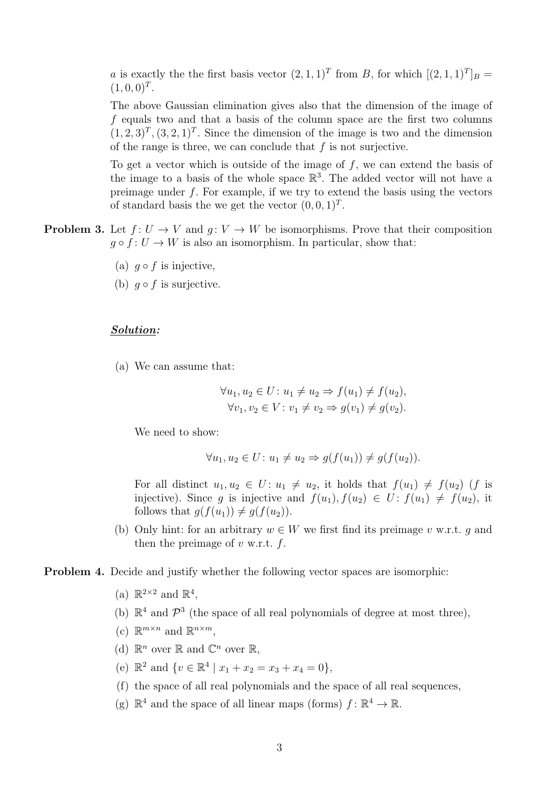*a* is exactly the the first basis vector  $(2,1,1)^T$  from *B*, for which  $[(2,1,1)^T]_B =$  $(1, 0, 0)^T$ .

The above Gaussian elimination gives also that the dimension of the image of f equals two and that a basis of the column space are the first two columns  $(1, 2, 3)<sup>T</sup>$ ,  $(3, 2, 1)<sup>T</sup>$ . Since the dimension of the image is two and the dimension of the range is three, we can conclude that  $f$  is not surjective.

To get a vector which is outside of the image of  $f$ , we can extend the basis of the image to a basis of the whole space  $\mathbb{R}^3$ . The added vector will not have a preimage under  $f$ . For example, if we try to extend the basis using the vectors of standard basis the we get the vector  $(0,0,1)^T$ .

- **Problem 3.** Let  $f: U \to V$  and  $q: V \to W$  be isomorphisms. Prove that their composition  $q \circ f : U \to W$  is also an isomorphism. In particular, show that:
	- (a)  $q \circ f$  is injective,
	- (b)  $q \circ f$  is surjective.

#### Solution:

(a) We can assume that:

$$
\forall u_1, u_2 \in U: u_1 \neq u_2 \Rightarrow f(u_1) \neq f(u_2),
$$
  

$$
\forall v_1, v_2 \in V: v_1 \neq v_2 \Rightarrow g(v_1) \neq g(v_2).
$$

We need to show:

$$
\forall u_1, u_2 \in U: u_1 \neq u_2 \Rightarrow g(f(u_1)) \neq g(f(u_2)).
$$

For all distinct  $u_1, u_2 \in U$ :  $u_1 \neq u_2$ , it holds that  $f(u_1) \neq f(u_2)$  (f is injective). Since q is injective and  $f(u_1)$ ,  $f(u_2) \in U$ :  $f(u_1) \neq f(u_2)$ , it follows that  $g(f(u_1)) \neq g(f(u_2))$ .

(b) Only hint: for an arbitrary  $w \in W$  we first find its preimage v w.r.t. q and then the preimage of  $v$  w.r.t.  $f$ .

Problem 4. Decide and justify whether the following vector spaces are isomorphic:

- (a)  $\mathbb{R}^{2\times 2}$  and  $\mathbb{R}^4$ ,
- (b)  $\mathbb{R}^4$  and  $\mathcal{P}^3$  (the space of all real polynomials of degree at most three),
- (c)  $\mathbb{R}^{m \times n}$  and  $\mathbb{R}^{n \times m}$ ,
- (d)  $\mathbb{R}^n$  over  $\mathbb{R}$  and  $\mathbb{C}^n$  over  $\mathbb{R}$ ,
- (e)  $\mathbb{R}^2$  and  $\{v \in \mathbb{R}^4 \mid x_1 + x_2 = x_3 + x_4 = 0\},\$
- (f) the space of all real polynomials and the space of all real sequences,
- (g)  $\mathbb{R}^4$  and the space of all linear maps (forms)  $f: \mathbb{R}^4 \to \mathbb{R}$ .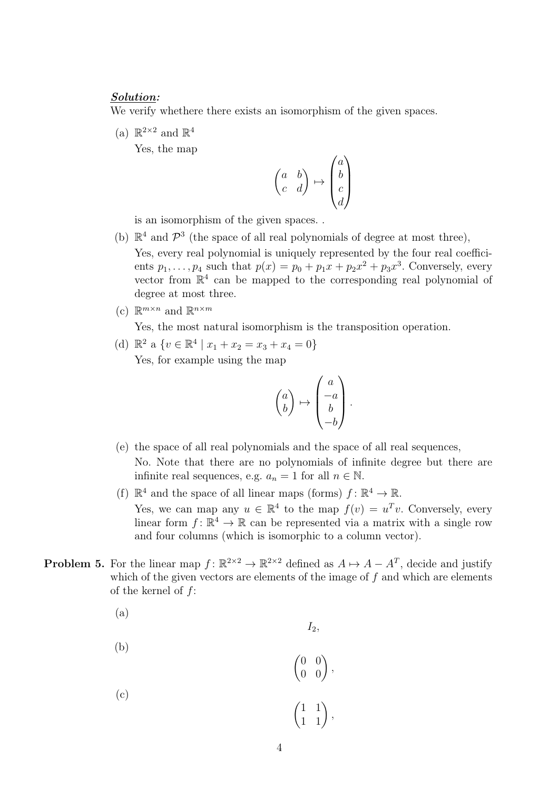### Solution:

We verify whethere there exists an isomorphism of the given spaces.

(a)  $\mathbb{R}^{2\times 2}$  and  $\mathbb{R}^4$ 

Yes, the map

$$
\begin{pmatrix} a & b \\ c & d \end{pmatrix} \mapsto \begin{pmatrix} a \\ b \\ c \\ d \end{pmatrix}
$$

is an isomorphism of the given spaces. .

- (b)  $\mathbb{R}^4$  and  $\mathcal{P}^3$  (the space of all real polynomials of degree at most three), Yes, every real polynomial is uniquely represented by the four real coefficients  $p_1, \ldots, p_4$  such that  $p(x) = p_0 + p_1x + p_2x^2 + p_3x^3$ . Conversely, every vector from  $\mathbb{R}^4$  can be mapped to the corresponding real polynomial of degree at most three.
- (c)  $\mathbb{R}^{m \times n}$  and  $\mathbb{R}^{n \times m}$

Yes, the most natural isomorphism is the transposition operation.

(d)  $\mathbb{R}^2$  a  $\{v \in \mathbb{R}^4 \mid x_1 + x_2 = x_3 + x_4 = 0\}$ Yes, for example using the map

$$
\begin{pmatrix} a \\ b \end{pmatrix} \mapsto \begin{pmatrix} a \\ -a \\ b \\ -b \end{pmatrix}.
$$

- (e) the space of all real polynomials and the space of all real sequences, No. Note that there are no polynomials of infinite degree but there are infinite real sequences, e.g.  $a_n = 1$  for all  $n \in \mathbb{N}$ .
- (f)  $\mathbb{R}^4$  and the space of all linear maps (forms)  $f: \mathbb{R}^4 \to \mathbb{R}$ . Yes, we can map any  $u \in \mathbb{R}^4$  to the map  $f(v) = u^T v$ . Conversely, every linear form  $f: \mathbb{R}^4 \to \mathbb{R}$  can be represented via a matrix with a single row and four columns (which is isomorphic to a column vector).

 $I_2$ ,

- **Problem 5.** For the linear map  $f: \mathbb{R}^{2 \times 2} \to \mathbb{R}^{2 \times 2}$  defined as  $A \mapsto A A^T$ , decide and justify which of the given vectors are elements of the image of  $f$  and which are elements of the kernel of  $f$ :
	- (a)

(b)  
\n(c)  
\n
$$
\begin{pmatrix} 0 & 0 \\ 0 & 0 \end{pmatrix},
$$
\n
$$
\begin{pmatrix} 1 & 1 \\ 1 & 1 \end{pmatrix},
$$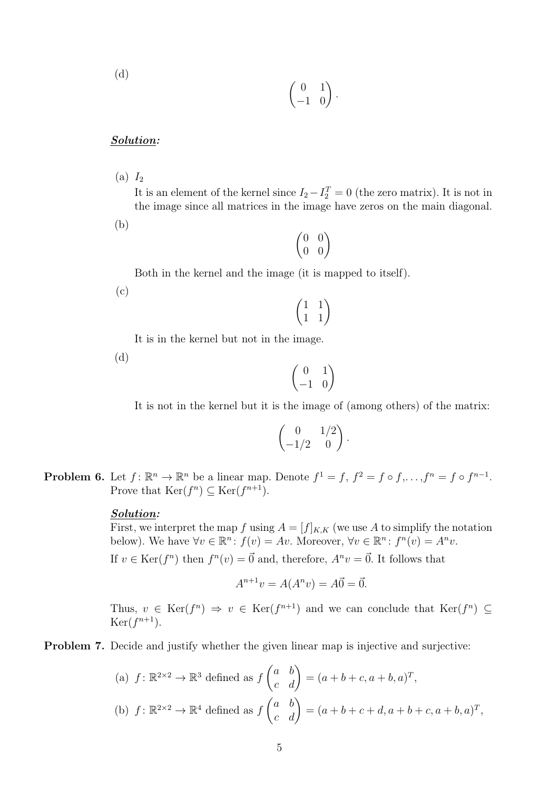(d)

$$
\begin{pmatrix} 0 & 1 \\ -1 & 0 \end{pmatrix}.
$$

### Solution:

 $(a) I<sub>2</sub>$ 

It is an element of the kernel since  $I_2 - I_2^T = 0$  (the zero matrix). It is not in the image since all matrices in the image have zeros on the main diagonal.

(b)

|   | 0 |
|---|---|
| 0 | 1 |

Both in the kernel and the image (it is mapped to itself).

(c)



It is in the kernel but not in the image.

(d)

 $\begin{pmatrix} 0 & 1 \\ -1 & 0 \end{pmatrix}$ 

It is not in the kernel but it is the image of (among others) of the matrix:

$$
\begin{pmatrix} 0 & 1/2 \\ -1/2 & 0 \end{pmatrix}.
$$

**Problem 6.** Let  $f: \mathbb{R}^n \to \mathbb{R}^n$  be a linear map. Denote  $f^1 = f, f^2 = f \circ f, \ldots, f^n = f \circ f^{n-1}$ . Prove that  $\text{Ker}(f^n) \subseteq \text{Ker}(f^{n+1})$ .

### Solution:

First, we interpret the map f using  $A = [f]_{K,K}$  (we use A to simplify the notation below). We have  $\forall v \in \mathbb{R}^n : f(v) = Av$ . Moreover,  $\forall v \in \mathbb{R}^n : f^n(v) = A^n v$ .

If  $v \in \text{Ker}(f^n)$  then  $f^n(v) = \vec{0}$  and, therefore,  $A^n v = \vec{0}$ . It follows that

$$
A^{n+1}v = A(A^n v) = A\vec{0} = \vec{0}.
$$

Thus,  $v \in \text{Ker}(f^n) \Rightarrow v \in \text{Ker}(f^{n+1})$  and we can conclude that  $\text{Ker}(f^n) \subseteq$  $\text{Ker}(f^{n+1}).$ 

**Problem 7.** Decide and justify whether the given linear map is injective and surjective:

(a) 
$$
f: \mathbb{R}^{2 \times 2} \to \mathbb{R}^3
$$
 defined as  $f\begin{pmatrix} a & b \\ c & d \end{pmatrix} = (a+b+c, a+b, a)^T$ ,  
\n(b)  $f: \mathbb{R}^{2 \times 2} \to \mathbb{R}^4$  defined as  $f\begin{pmatrix} a & b \\ c & d \end{pmatrix} = (a+b+c+d, a+b+c, a+b, a)^T$ ,